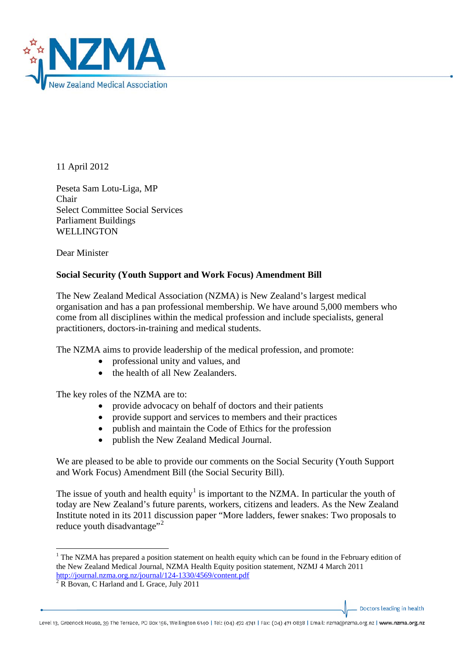

11 April 2012

Peseta Sam Lotu-Liga, MP Chair Select Committee Social Services Parliament Buildings WELLINGTON

Dear Minister

## **Social Security (Youth Support and Work Focus) Amendment Bill**

The New Zealand Medical Association (NZMA) is New Zealand's largest medical organisation and has a pan professional membership. We have around 5,000 members who come from all disciplines within the medical profession and include specialists, general practitioners, doctors-in-training and medical students.

The NZMA aims to provide leadership of the medical profession, and promote:

- professional unity and values, and
- the health of all New Zealanders

The key roles of the NZMA are to:

- provide advocacy on behalf of doctors and their patients
- provide support and services to members and their practices
- publish and maintain the Code of Ethics for the profession
- publish the New Zealand Medical Journal.

We are pleased to be able to provide our comments on the Social Security (Youth Support and Work Focus) Amendment Bill (the Social Security Bill).

The issue of youth and health equity<sup>[1](#page-0-0)</sup> is important to the NZMA. In particular the youth of today are New Zealand's future parents, workers, citizens and leaders. As the New Zealand Institute noted in its 2011 discussion paper "More ladders, fewer snakes: Two proposals to reduce youth disadvantage"<sup>[2](#page-0-1)</sup>

Doctors leading in health

<span id="page-0-0"></span><sup>&</sup>lt;sup>1</sup> The NZMA has prepared a position statement on health equity which can be found in the February edition of the New Zealand Medical Journal, NZMA Health Equity position statement, NZMJ 4 March 2011 <http://journal.nzma.org.nz/journal/124-1330/4569/content.pdf> <sup>2</sup> R Bovan, C Harland and L Grace, July 2011

<span id="page-0-1"></span>